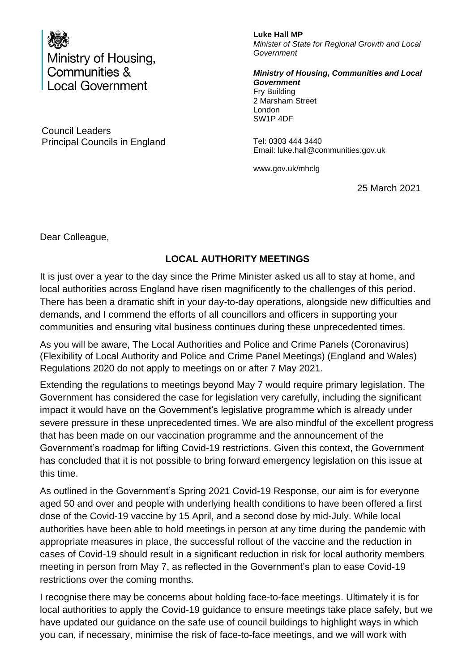

Council Leaders Principal Councils in England Tel: 0303 444 3440

**Luke Hall MP** *Minister of State for Regional Growth and Local Government*

*Ministry of Housing, Communities and Local Government* Fry Building 2 Marsham Street London SW1P 4DF

Email: luke.hall@communities.gov.uk

www.gov.uk/mhclg

25 March 2021

Dear Colleague,

## **LOCAL AUTHORITY MEETINGS**

It is just over a year to the day since the Prime Minister asked us all to stay at home, and local authorities across England have risen magnificently to the challenges of this period. There has been a dramatic shift in your day-to-day operations, alongside new difficulties and demands, and I commend the efforts of all councillors and officers in supporting your communities and ensuring vital business continues during these unprecedented times.

As you will be aware, The Local Authorities and Police and Crime Panels (Coronavirus) (Flexibility of Local Authority and Police and Crime Panel Meetings) (England and Wales) Regulations 2020 do not apply to meetings on or after 7 May 2021.

Extending the regulations to meetings beyond May 7 would require primary legislation. The Government has considered the case for legislation very carefully, including the significant impact it would have on the Government's legislative programme which is already under severe pressure in these unprecedented times. We are also mindful of the excellent progress that has been made on our vaccination programme and the announcement of the Government's roadmap for lifting Covid-19 restrictions. Given this context, the Government has concluded that it is not possible to bring forward emergency legislation on this issue at this time.

As outlined in the Government's Spring 2021 Covid-19 Response, our aim is for everyone aged 50 and over and people with underlying health conditions to have been offered a first dose of the Covid-19 vaccine by 15 April, and a second dose by mid-July. While local authorities have been able to hold meetings in person at any time during the pandemic with appropriate measures in place, the successful rollout of the vaccine and the reduction in cases of Covid-19 should result in a significant reduction in risk for local authority members meeting in person from May 7, as reflected in the Government's plan to ease Covid-19 restrictions over the coming months.

I recognise there may be concerns about holding face-to-face meetings. Ultimately it is for local authorities to apply the Covid-19 guidance to ensure meetings take place safely, but we have updated our guidance on the safe use of council buildings to highlight ways in which you can, if necessary, minimise the risk of face-to-face meetings, and we will work with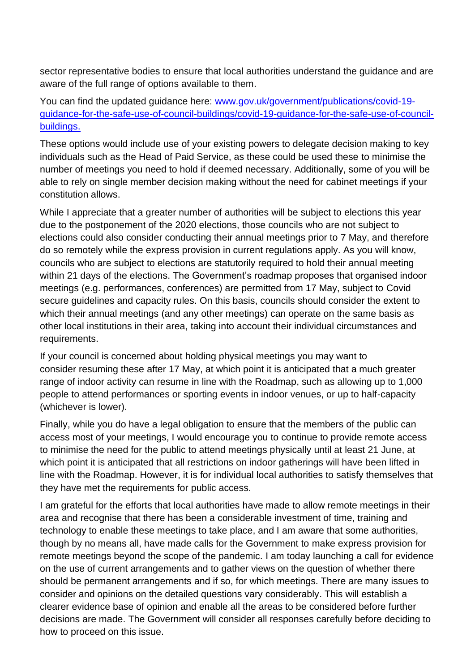sector representative bodies to ensure that local authorities understand the guidance and are aware of the full range of options available to them.

You can find the updated guidance here: [www.gov.uk/government/publications/covid-19](http://www.gov.uk/government/publications/covid-19-guidance-for-the-safe-use-of-council-buildings/covid-19-guidance-for-the-safe-use-of-council-buildings) [guidance-for-the-safe-use-of-council-buildings/covid-19-guidance-for-the-safe-use-of-council](http://www.gov.uk/government/publications/covid-19-guidance-for-the-safe-use-of-council-buildings/covid-19-guidance-for-the-safe-use-of-council-buildings)[buildings.](http://www.gov.uk/government/publications/covid-19-guidance-for-the-safe-use-of-council-buildings/covid-19-guidance-for-the-safe-use-of-council-buildings)

These options would include use of your existing powers to delegate decision making to key individuals such as the Head of Paid Service, as these could be used these to minimise the number of meetings you need to hold if deemed necessary. Additionally, some of you will be able to rely on single member decision making without the need for cabinet meetings if your constitution allows.

While I appreciate that a greater number of authorities will be subject to elections this year due to the postponement of the 2020 elections, those councils who are not subject to elections could also consider conducting their annual meetings prior to 7 May, and therefore do so remotely while the express provision in current regulations apply. As you will know, councils who are subject to elections are statutorily required to hold their annual meeting within 21 days of the elections. The Government's roadmap proposes that organised indoor meetings (e.g. performances, conferences) are permitted from 17 May, subject to Covid secure guidelines and capacity rules. On this basis, councils should consider the extent to which their annual meetings (and any other meetings) can operate on the same basis as other local institutions in their area, taking into account their individual circumstances and requirements.

If your council is concerned about holding physical meetings you may want to consider resuming these after 17 May, at which point it is anticipated that a much greater range of indoor activity can resume in line with the Roadmap, such as allowing up to 1,000 people to attend performances or sporting events in indoor venues, or up to half-capacity (whichever is lower).

Finally, while you do have a legal obligation to ensure that the members of the public can access most of your meetings, I would encourage you to continue to provide remote access to minimise the need for the public to attend meetings physically until at least 21 June, at which point it is anticipated that all restrictions on indoor gatherings will have been lifted in line with the Roadmap. However, it is for individual local authorities to satisfy themselves that they have met the requirements for public access.

I am grateful for the efforts that local authorities have made to allow remote meetings in their area and recognise that there has been a considerable investment of time, training and technology to enable these meetings to take place, and I am aware that some authorities, though by no means all, have made calls for the Government to make express provision for remote meetings beyond the scope of the pandemic. I am today launching a call for evidence on the use of current arrangements and to gather views on the question of whether there should be permanent arrangements and if so, for which meetings. There are many issues to consider and opinions on the detailed questions vary considerably. This will establish a clearer evidence base of opinion and enable all the areas to be considered before further decisions are made. The Government will consider all responses carefully before deciding to how to proceed on this issue.